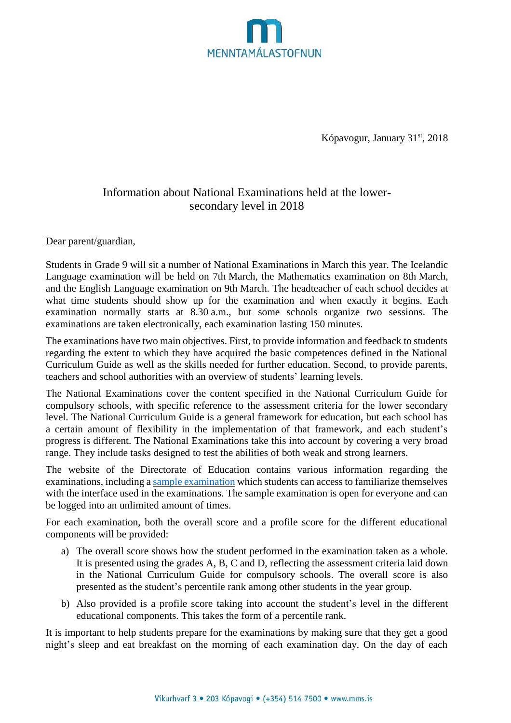

Kópavogur, January 31<sup>st</sup>, 2018

## Information about National Examinations held at the lowersecondary level in 2018

Dear parent/guardian,

Students in Grade 9 will sit a number of National Examinations in March this year. The Icelandic Language examination will be held on 7th March, the Mathematics examination on 8th March, and the English Language examination on 9th March. The headteacher of each school decides at what time students should show up for the examination and when exactly it begins. Each examination normally starts at 8.30 a.m., but some schools organize two sessions. The examinations are taken electronically, each examination lasting 150 minutes.

The examinations have two main objectives. First, to provide information and feedback to students regarding the extent to which they have acquired the basic competences defined in the National Curriculum Guide as well as the skills needed for further education. Second, to provide parents, teachers and school authorities with an overview of students' learning levels.

The National Examinations cover the content specified in the National Curriculum Guide for compulsory schools, with specific reference to the assessment criteria for the lower secondary level. The National Curriculum Guide is a general framework for education, but each school has a certain amount of flexibility in the implementation of that framework, and each student's progress is different. The National Examinations take this into account by covering a very broad range. They include tasks designed to test the abilities of both weak and strong learners.

The website of the Directorate of Education contains various information regarding the examinations, including a sample [examination](https://mms.is/rafraen-prof) which students can access to familiarize themselves with the interface used in the examinations. The sample examination is open for everyone and can be logged into an unlimited amount of times.

For each examination, both the overall score and a profile score for the different educational components will be provided:

- a) The overall score shows how the student performed in the examination taken as a whole. It is presented using the grades A, B, C and D, reflecting the assessment criteria laid down in the National Curriculum Guide for compulsory schools. The overall score is also presented as the student's percentile rank among other students in the year group.
- b) Also provided is a profile score taking into account the student's level in the different educational components. This takes the form of a percentile rank.

It is important to help students prepare for the examinations by making sure that they get a good night's sleep and eat breakfast on the morning of each examination day. On the day of each